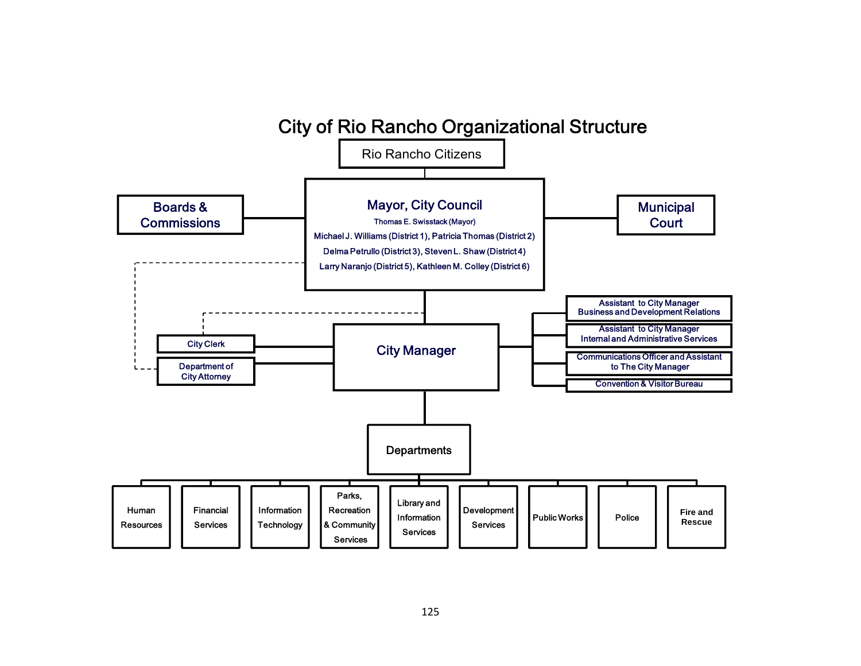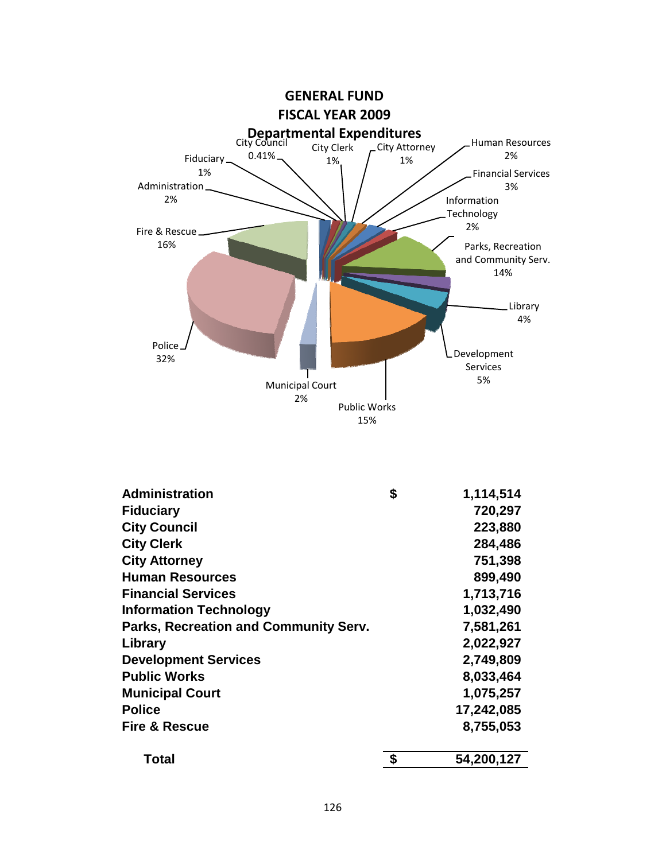

| <b>Administration</b>                 | \$<br>1,114,514 |
|---------------------------------------|-----------------|
| <b>Fiduciary</b>                      | 720,297         |
| <b>City Council</b>                   | 223,880         |
| <b>City Clerk</b>                     | 284,486         |
| <b>City Attorney</b>                  | 751,398         |
| <b>Human Resources</b>                | 899,490         |
| <b>Financial Services</b>             | 1,713,716       |
| <b>Information Technology</b>         | 1,032,490       |
| Parks, Recreation and Community Serv. | 7,581,261       |
| Library                               | 2,022,927       |
| <b>Development Services</b>           | 2,749,809       |
| <b>Public Works</b>                   | 8,033,464       |
| <b>Municipal Court</b>                | 1,075,257       |
| <b>Police</b>                         | 17,242,085      |
| <b>Fire &amp; Rescue</b>              | 8,755,053       |
| Total                                 | 54,200,127      |
|                                       |                 |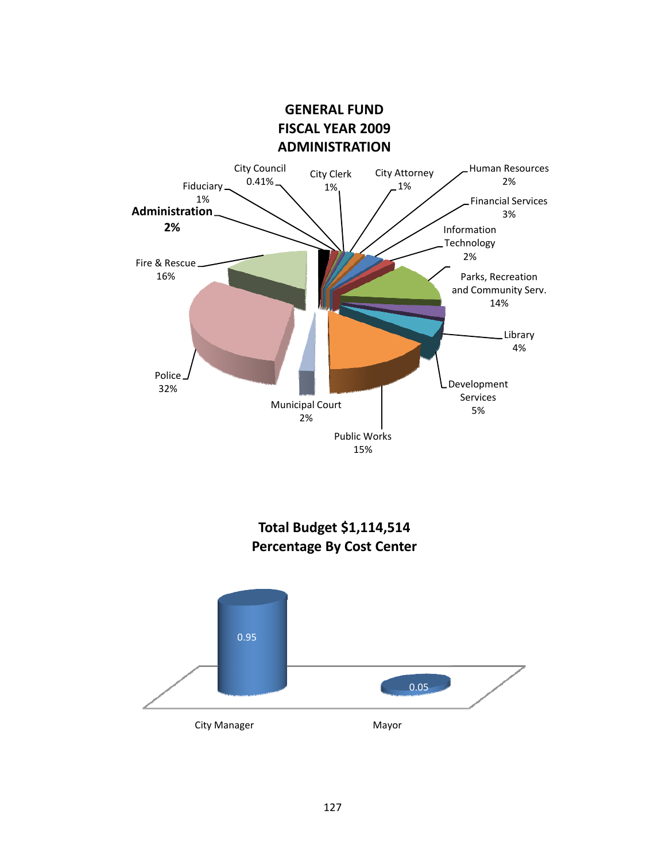

**Total Budget \$1,114,514 Percentage By Cost Center**

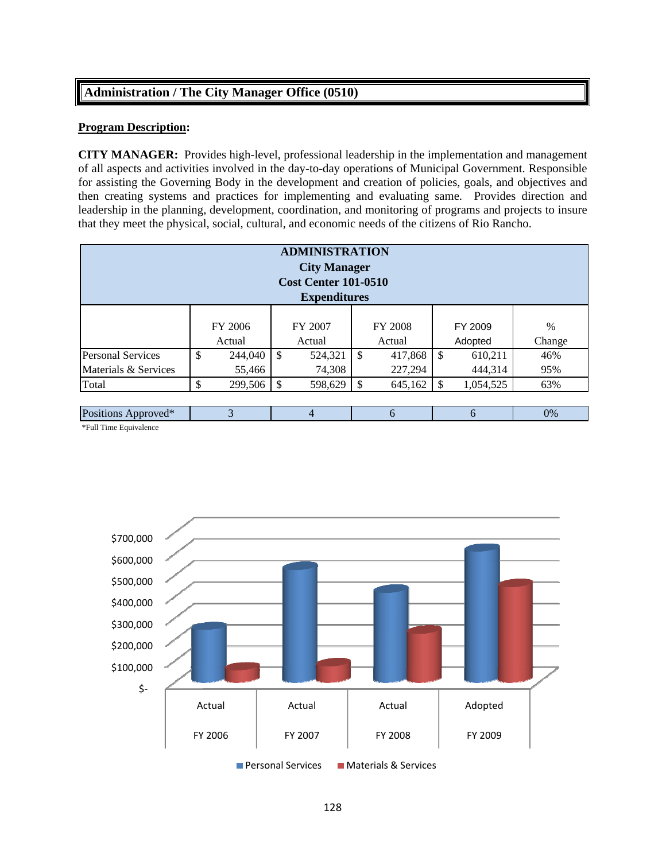# **Administration / The City Manager Office (0510)**

#### **Program Description:**

**CITY MANAGER:** Provides high-level, professional leadership in the implementation and management of all aspects and activities involved in the day-to-day operations of Municipal Government. Responsible for assisting the Governing Body in the development and creation of policies, goals, and objectives and then creating systems and practices for implementing and evaluating same. Provides direction and leadership in the planning, development, coordination, and monitoring of programs and projects to insure that they meet the physical, social, cultural, and economic needs of the citizens of Rio Rancho.

| <b>ADMINISTRATION</b><br><b>City Manager</b><br><b>Cost Center 101-0510</b><br><b>Expenditures</b> |    |                   |               |                   |     |                          |     |                    |             |  |
|----------------------------------------------------------------------------------------------------|----|-------------------|---------------|-------------------|-----|--------------------------|-----|--------------------|-------------|--|
|                                                                                                    |    | FY 2006<br>Actual |               | FY 2007<br>Actual |     | <b>FY 2008</b><br>Actual |     | FY 2009<br>Adopted | %<br>Change |  |
| <b>Personal Services</b><br>Materials & Services                                                   | -S | 244,040<br>55,466 | <sup>\$</sup> | 524,321<br>74,308 | S   | 417,868<br>227,294       | -\$ | 610,211<br>444,314 | 46%<br>95%  |  |
| Total                                                                                              | S  | 299,506           | \$            | 598,629           | \$. | 645,162                  | -S  | 1,054,525          | 63%         |  |

| $P_{0}$<br>roved*<br>чюнь. |  |  | $\Omega$ |
|----------------------------|--|--|----------|
| *Full Time Equivalence     |  |  |          |

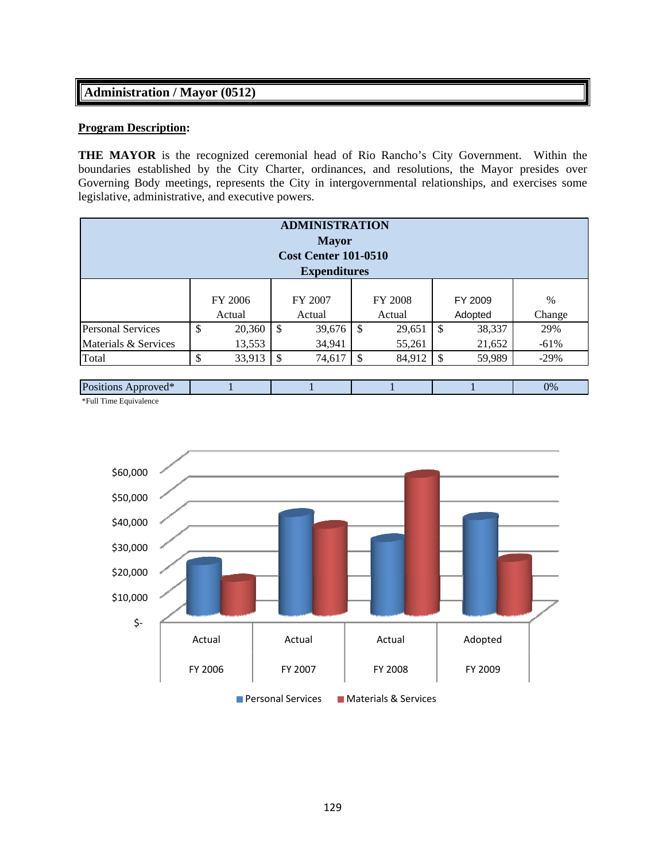# **Administration / Mayor (0512)**

#### **Program Description:**

**THE MAYOR** is the recognized ceremonial head of Rio Rancho's City Government. Within the boundaries established by the City Charter, ordinances, and resolutions, the Mayor presides over Governing Body meetings, represents the City in intergovernmental relationships, and exercises some legislative, administrative, and executive powers.

|                                                                                                           | <b>ADMINISTRATION</b><br><b>Mayor</b><br><b>Cost Center 101-0510</b><br><b>Expenditures</b> |                  |    |                  |    |                  |               |                  |               |  |
|-----------------------------------------------------------------------------------------------------------|---------------------------------------------------------------------------------------------|------------------|----|------------------|----|------------------|---------------|------------------|---------------|--|
| FY 2007<br><b>FY 2008</b><br>FY 2006<br>$\frac{0}{0}$<br>FY 2009<br>Actual<br>Adopted<br>Actual<br>Actual |                                                                                             |                  |    |                  |    |                  |               |                  | Change        |  |
| <b>Personal Services</b><br>Materials & Services                                                          | \$                                                                                          | 20,360<br>13,553 | -S | 39,676<br>34,941 | \$ | 29,651<br>55,261 | <sup>\$</sup> | 38,337<br>21,652 | 29%<br>$-61%$ |  |
| Total                                                                                                     | \$                                                                                          | 33,913           | S  | 74,617           | \$ | 84,912           | <b>S</b>      | 59,989           | $-29%$        |  |

| Dο<br>$\Lambda$ pproved $\Lambda$<br><b>OSILIONS</b> |  |  | 0% |
|------------------------------------------------------|--|--|----|
| *Full Ti<br>Time.<br>: Equivalence                   |  |  |    |

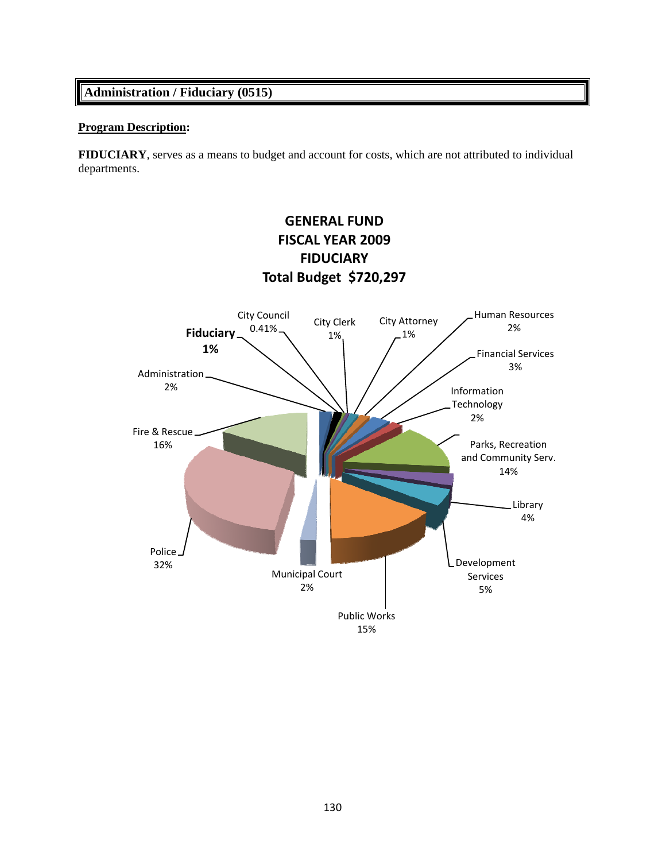# **Administration / Fiduciary (0515)**

#### **Program Description:**

**FIDUCIARY**, serves as a means to budget and account for costs, which are not attributed to individual departments.

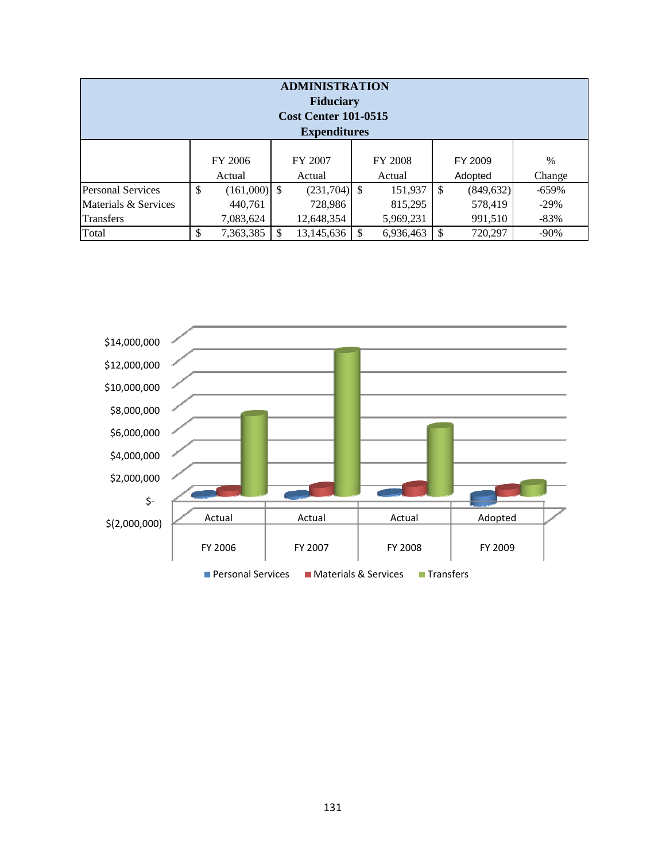| <b>ADMINISTRATION</b><br><b>Fiduciary</b><br><b>Cost Center 101-0515</b><br><b>Expenditures</b> |                                                                                          |           |               |                |  |           |               |            |                |  |  |
|-------------------------------------------------------------------------------------------------|------------------------------------------------------------------------------------------|-----------|---------------|----------------|--|-----------|---------------|------------|----------------|--|--|
|                                                                                                 | FY 2006<br><b>FY 2008</b><br>FY 2007<br>FY 2009<br>Adopted<br>Actual<br>Actual<br>Actual |           |               |                |  |           |               |            | $\%$<br>Change |  |  |
| <b>Personal Services</b>                                                                        | \$                                                                                       | (161,000) | <sup>\$</sup> | $(231,704)$ \$ |  | 151,937   | <sup>\$</sup> | (849, 632) | $-659%$        |  |  |
| Materials & Services                                                                            |                                                                                          | 440,761   |               | 728,986        |  | 815,295   |               | 578,419    | $-29%$         |  |  |
| Transfers                                                                                       |                                                                                          | 7,083,624 |               | 12,648,354     |  | 5,969,231 |               | 991,510    | $-83%$         |  |  |
| Total                                                                                           |                                                                                          | 7,363,385 |               | 13,145,636     |  | 6,936,463 |               | 720,297    | $-90%$         |  |  |

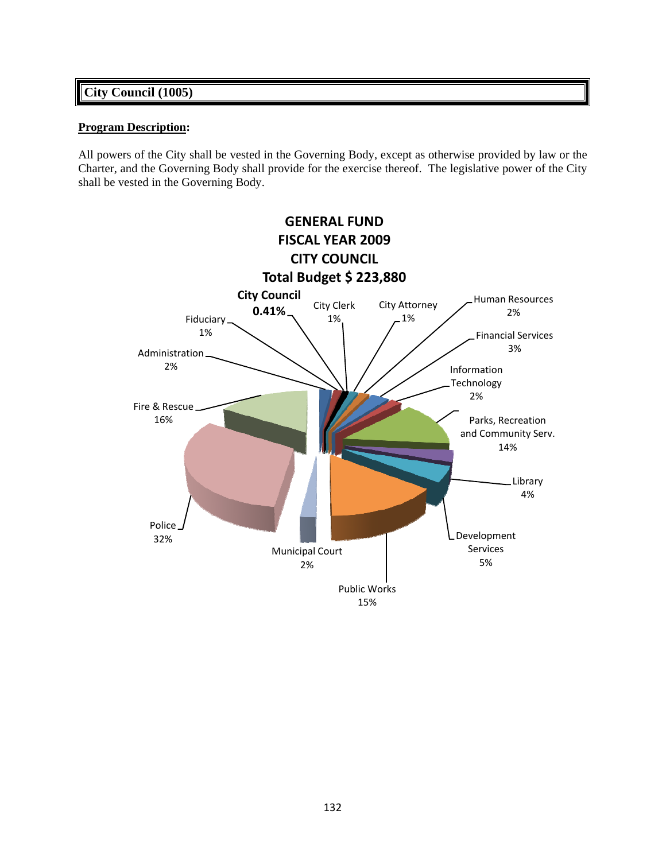# **City Council (1005)**

#### **Program Description:**

All powers of the City shall be vested in the Governing Body, except as otherwise provided by law or the Charter, and the Governing Body shall provide for the exercise thereof. The legislative power of the City shall be vested in the Governing Body.

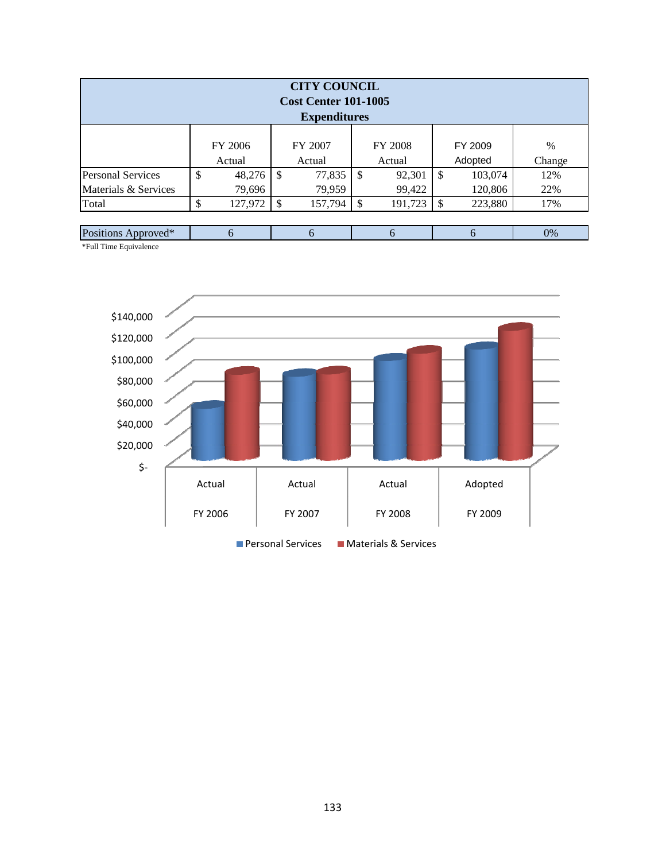| <b>CITY COUNCIL</b><br><b>Cost Center 101-1005</b><br><b>Expenditures</b>                                  |   |                  |    |                  |    |                  |    |                    |            |
|------------------------------------------------------------------------------------------------------------|---|------------------|----|------------------|----|------------------|----|--------------------|------------|
| FY 2006<br>FY 2007<br><b>FY 2008</b><br>$\%$<br>FY 2009<br>Adopted<br>Actual<br>Actual<br>Actual<br>Change |   |                  |    |                  |    |                  |    |                    |            |
| <b>Personal Services</b><br>Materials & Services                                                           | S | 48,276<br>79,696 | S  | 77,835<br>79,959 | \$ | 92,301<br>99,422 | \$ | 103,074<br>120,806 | 12%<br>22% |
| Total                                                                                                      |   | 127,972          | -S | 157,794          | \$ | 191,723          | \$ | 223,880            | 17%        |
| Positions Approved*                                                                                        |   | 6                |    | 6                |    | 6                |    | 6                  | 0%         |

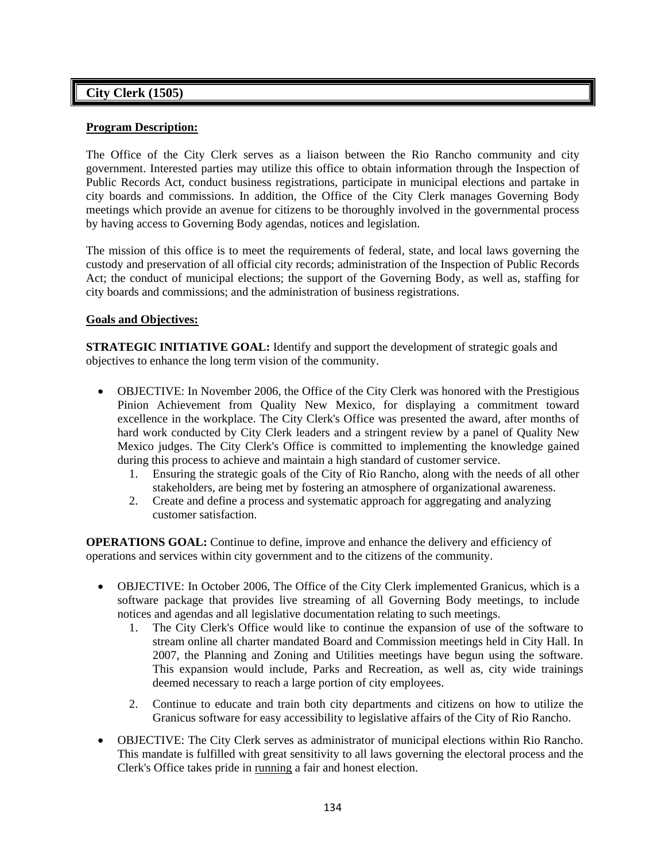### **City Clerk (1505)**

#### **Program Description:**

The Office of the City Clerk serves as a liaison between the Rio Rancho community and city government. Interested parties may utilize this office to obtain information through the Inspection of Public Records Act, conduct business registrations, participate in municipal elections and partake in city boards and commissions. In addition, the Office of the City Clerk manages Governing Body meetings which provide an avenue for citizens to be thoroughly involved in the governmental process by having access to Governing Body agendas, notices and legislation.

The mission of this office is to meet the requirements of federal, state, and local laws governing the custody and preservation of all official city records; administration of the Inspection of Public Records Act; the conduct of municipal elections; the support of the Governing Body, as well as, staffing for city boards and commissions; and the administration of business registrations.

#### **Goals and Objectives:**

**STRATEGIC INITIATIVE GOAL:** Identify and support the development of strategic goals and objectives to enhance the long term vision of the community.

- OBJECTIVE: In November 2006, the Office of the City Clerk was honored with the Prestigious Pinion Achievement from Quality New Mexico, for displaying a commitment toward excellence in the workplace. The City Clerk's Office was presented the award, after months of hard work conducted by City Clerk leaders and a stringent review by a panel of Quality New Mexico judges. The City Clerk's Office is committed to implementing the knowledge gained during this process to achieve and maintain a high standard of customer service.
	- 1. Ensuring the strategic goals of the City of Rio Rancho, along with the needs of all other stakeholders, are being met by fostering an atmosphere of organizational awareness.
	- 2. Create and define a process and systematic approach for aggregating and analyzing customer satisfaction.

**OPERATIONS GOAL:** Continue to define, improve and enhance the delivery and efficiency of operations and services within city government and to the citizens of the community.

- OBJECTIVE: In October 2006, The Office of the City Clerk implemented Granicus, which is a software package that provides live streaming of all Governing Body meetings, to include notices and agendas and all legislative documentation relating to such meetings.
	- 1. The City Clerk's Office would like to continue the expansion of use of the software to stream online all charter mandated Board and Commission meetings held in City Hall. In 2007, the Planning and Zoning and Utilities meetings have begun using the software. This expansion would include, Parks and Recreation, as well as, city wide trainings deemed necessary to reach a large portion of city employees.
	- 2. Continue to educate and train both city departments and citizens on how to utilize the Granicus software for easy accessibility to legislative affairs of the City of Rio Rancho.
- OBJECTIVE: The City Clerk serves as administrator of municipal elections within Rio Rancho. This mandate is fulfilled with great sensitivity to all laws governing the electoral process and the Clerk's Office takes pride in running a fair and honest election.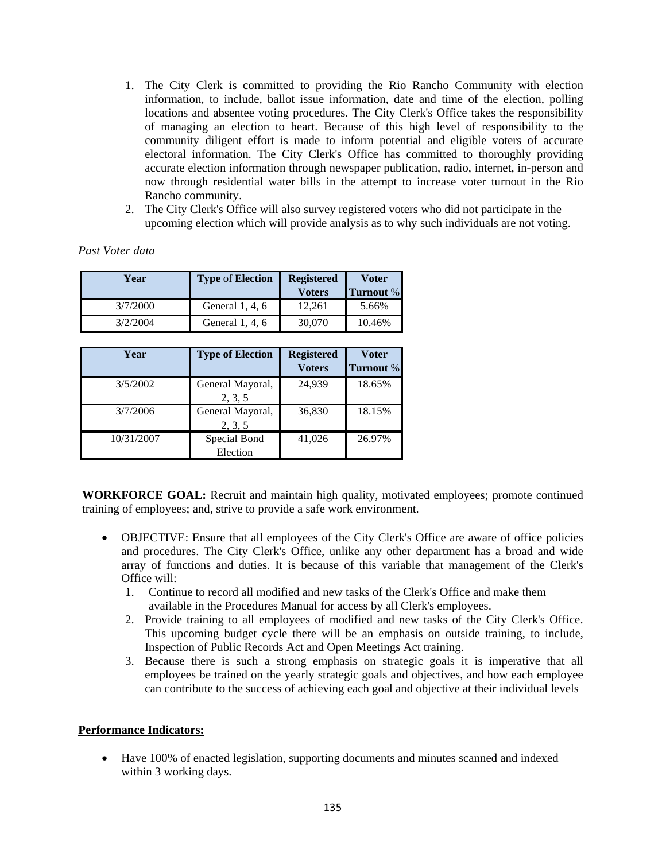- 1. The City Clerk is committed to providing the Rio Rancho Community with election information, to include, ballot issue information, date and time of the election, polling locations and absentee voting procedures. The City Clerk's Office takes the responsibility of managing an election to heart. Because of this high level of responsibility to the community diligent effort is made to inform potential and eligible voters of accurate electoral information. The City Clerk's Office has committed to thoroughly providing accurate election information through newspaper publication, radio, internet, in-person and now through residential water bills in the attempt to increase voter turnout in the Rio Rancho community.
- 2. The City Clerk's Office will also survey registered voters who did not participate in the upcoming election which will provide analysis as to why such individuals are not voting.

| Year     | <b>Type of Election</b> | <b>Registered</b><br><b>Voters</b> | Voter<br>Turnout % |
|----------|-------------------------|------------------------------------|--------------------|
| 3/7/2000 | General $1, 4, 6$       | 12.261                             | 5.66%              |
| 3/2/2004 | General $1, 4, 6$       | 30,070                             | 10.46%             |

| Past Voter data |  |
|-----------------|--|
|-----------------|--|

| Year       | <b>Type of Election</b>     | <b>Registered</b><br><b>Voters</b> | <b>Voter</b><br>Turnout % |
|------------|-----------------------------|------------------------------------|---------------------------|
| 3/5/2002   | General Mayoral,<br>2, 3, 5 | 24.939                             | 18.65%                    |
| 3/7/2006   | General Mayoral,<br>2, 3, 5 | 36,830                             | 18.15%                    |
| 10/31/2007 | Special Bond<br>Election    | 41,026                             | 26.97%                    |

**WORKFORCE GOAL:** Recruit and maintain high quality, motivated employees; promote continued training of employees; and, strive to provide a safe work environment.

- OBJECTIVE: Ensure that all employees of the City Clerk's Office are aware of office policies and procedures. The City Clerk's Office, unlike any other department has a broad and wide array of functions and duties. It is because of this variable that management of the Clerk's Office will:
	- 1. Continue to record all modified and new tasks of the Clerk's Office and make them available in the Procedures Manual for access by all Clerk's employees.
	- 2. Provide training to all employees of modified and new tasks of the City Clerk's Office. This upcoming budget cycle there will be an emphasis on outside training, to include, Inspection of Public Records Act and Open Meetings Act training.
	- 3. Because there is such a strong emphasis on strategic goals it is imperative that all employees be trained on the yearly strategic goals and objectives, and how each employee can contribute to the success of achieving each goal and objective at their individual levels

#### **Performance Indicators:**

• Have 100% of enacted legislation, supporting documents and minutes scanned and indexed within 3 working days.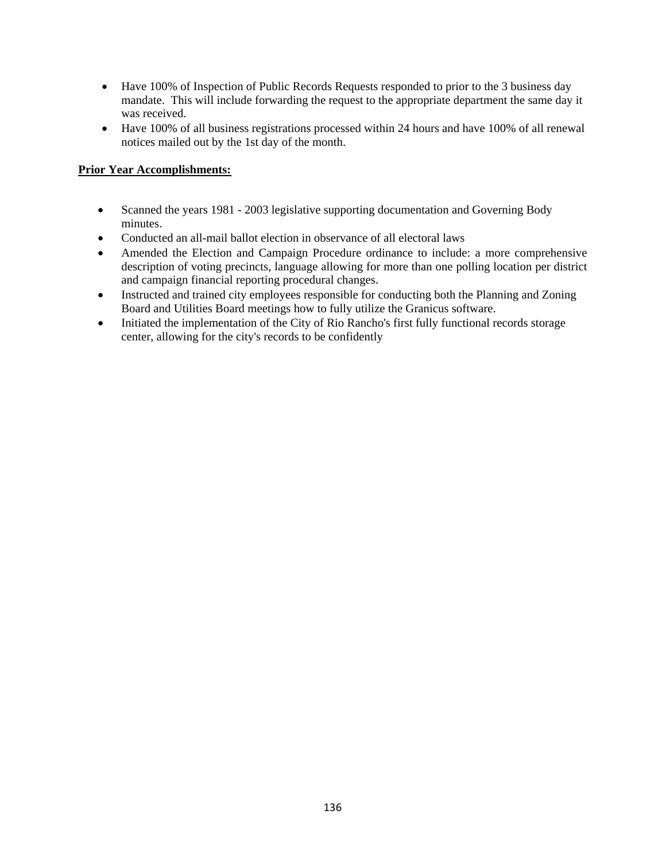- Have 100% of Inspection of Public Records Requests responded to prior to the 3 business day mandate. This will include forwarding the request to the appropriate department the same day it was received.
- Have 100% of all business registrations processed within 24 hours and have 100% of all renewal notices mailed out by the 1st day of the month.

#### **Prior Year Accomplishments:**

- Scanned the years 1981 2003 legislative supporting documentation and Governing Body minutes.
- Conducted an all-mail ballot election in observance of all electoral laws
- Amended the Election and Campaign Procedure ordinance to include: a more comprehensive description of voting precincts, language allowing for more than one polling location per district and campaign financial reporting procedural changes.
- Instructed and trained city employees responsible for conducting both the Planning and Zoning Board and Utilities Board meetings how to fully utilize the Granicus software.
- Initiated the implementation of the City of Rio Rancho's first fully functional records storage center, allowing for the city's records to be confidently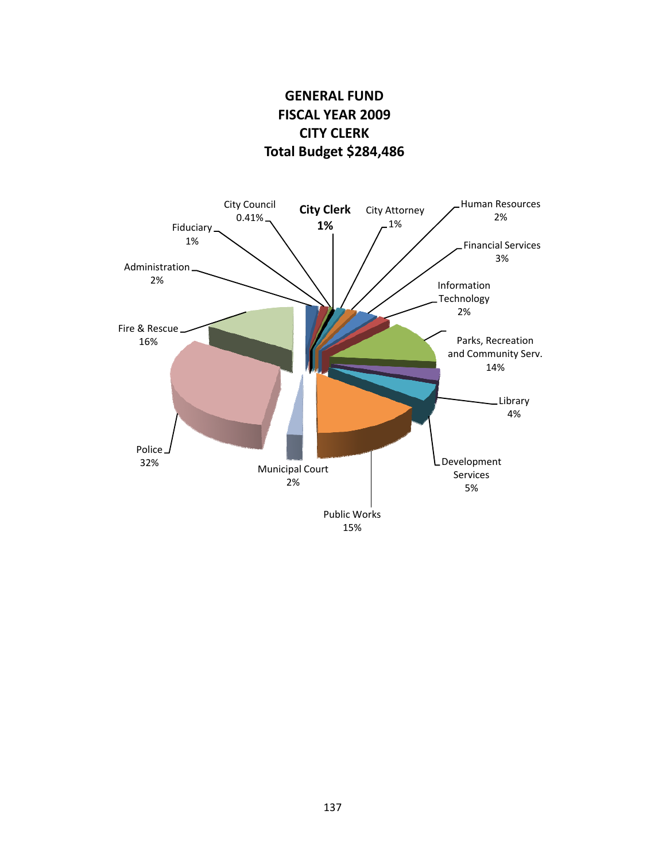# **GENERAL FUND FISCAL YEAR 2009 CITY CLERK Total Budget \$284,486**

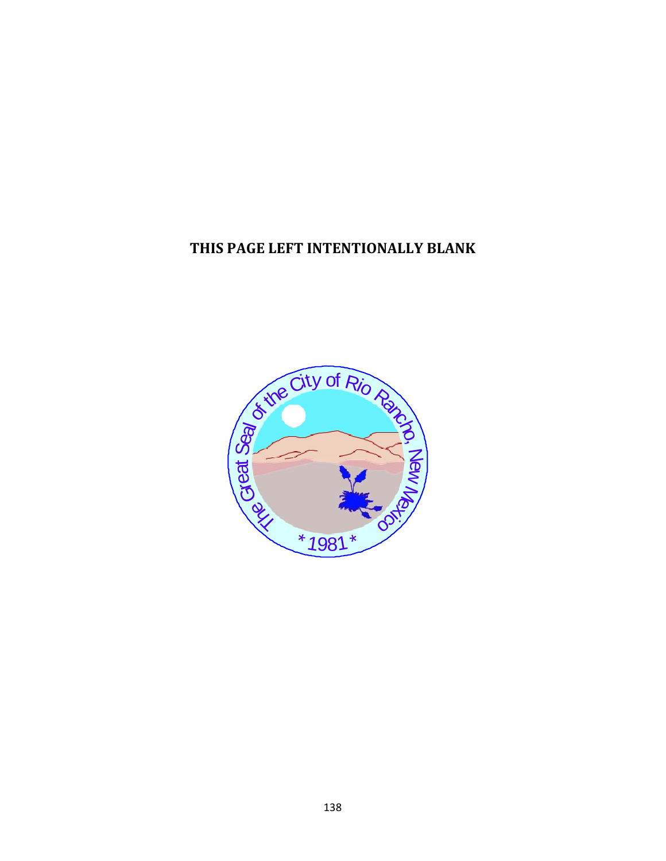# **THIS PAGE LEFT INTENTIONALLY BLANK**

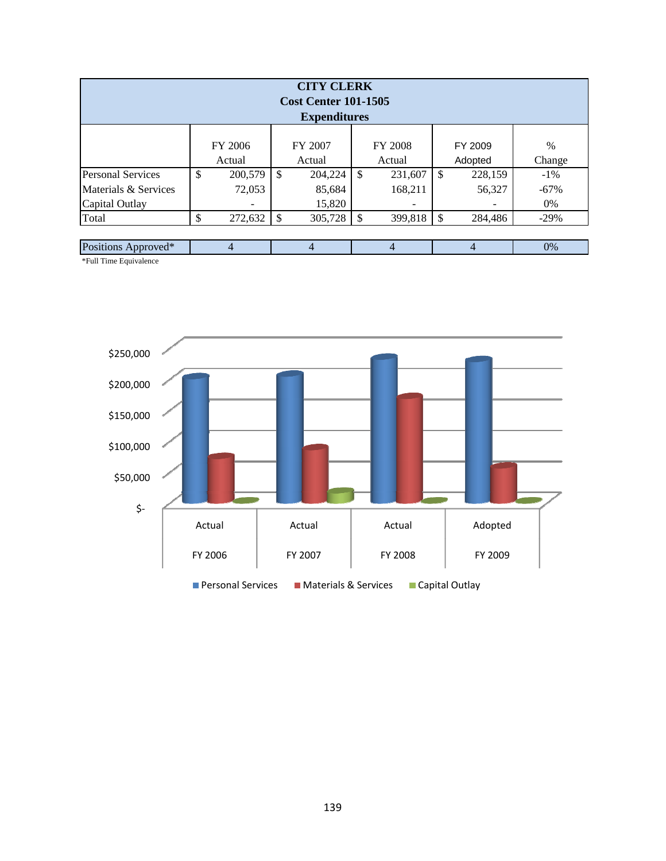| <b>CITY CLERK</b><br><b>Cost Center 101-1505</b><br><b>Expenditures</b>                                             |    |                        |    |                             |    |                    |          |                   |                        |  |
|---------------------------------------------------------------------------------------------------------------------|----|------------------------|----|-----------------------------|----|--------------------|----------|-------------------|------------------------|--|
| FY 2007<br>FY 2006<br><b>FY 2008</b><br>FY 2009<br>$\frac{0}{0}$<br>Actual<br>Adopted<br>Change<br>Actual<br>Actual |    |                        |    |                             |    |                    |          |                   |                        |  |
| <b>Personal Services</b><br>Materials & Services<br>Capital Outlay                                                  | \$ | 200,579<br>72,053<br>- | \$ | 204,224<br>85,684<br>15,820 | \$ | 231,607<br>168,211 | <b>S</b> | 228,159<br>56,327 | $-1\%$<br>$-67%$<br>0% |  |
| 272,632<br>\$<br>305,728<br>Total<br>\$<br>\$<br>399,818<br>284,486<br>$-29%$                                       |    |                        |    |                             |    |                    |          |                   |                        |  |
| Positions Approved*                                                                                                 |    | 4                      |    | 4                           |    | $\overline{4}$     |          | 4                 | 0%                     |  |

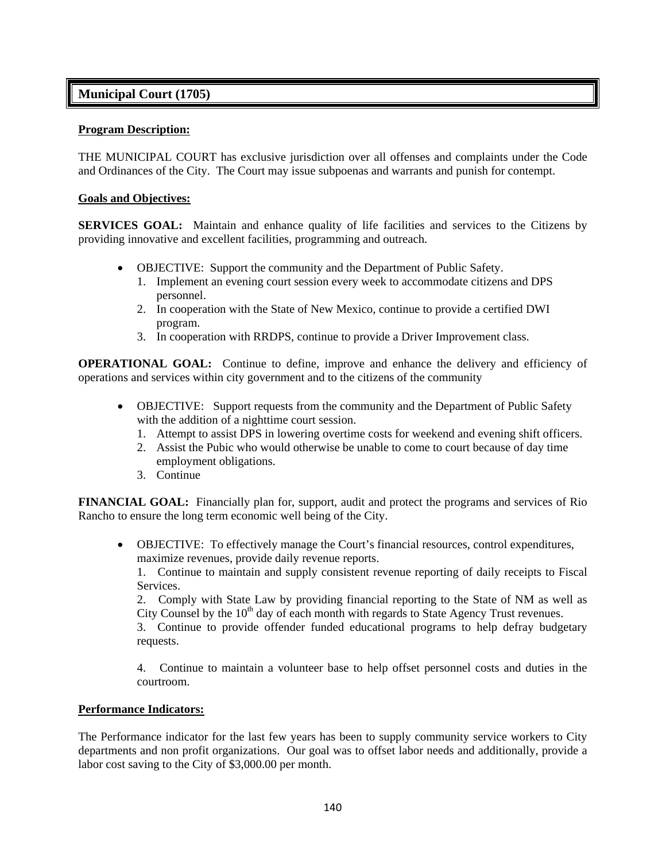### **Municipal Court (1705)**

#### **Program Description:**

THE MUNICIPAL COURT has exclusive jurisdiction over all offenses and complaints under the Code and Ordinances of the City. The Court may issue subpoenas and warrants and punish for contempt.

#### **Goals and Objectives:**

**SERVICES GOAL:** Maintain and enhance quality of life facilities and services to the Citizens by providing innovative and excellent facilities, programming and outreach.

- OBJECTIVE: Support the community and the Department of Public Safety.
	- 1. Implement an evening court session every week to accommodate citizens and DPS personnel.
	- 2. In cooperation with the State of New Mexico, continue to provide a certified DWI program.
	- 3. In cooperation with RRDPS, continue to provide a Driver Improvement class.

**OPERATIONAL GOAL:** Continue to define, improve and enhance the delivery and efficiency of operations and services within city government and to the citizens of the community

- OBJECTIVE: Support requests from the community and the Department of Public Safety with the addition of a nighttime court session.
	- 1. Attempt to assist DPS in lowering overtime costs for weekend and evening shift officers.
	- 2. Assist the Pubic who would otherwise be unable to come to court because of day time employment obligations.
	- 3. Continue

**FINANCIAL GOAL:** Financially plan for, support, audit and protect the programs and services of Rio Rancho to ensure the long term economic well being of the City.

• OBJECTIVE: To effectively manage the Court's financial resources, control expenditures, maximize revenues, provide daily revenue reports.

1. Continue to maintain and supply consistent revenue reporting of daily receipts to Fiscal Services.

2. Comply with State Law by providing financial reporting to the State of NM as well as City Counsel by the  $10<sup>th</sup>$  day of each month with regards to State Agency Trust revenues.

3. Continue to provide offender funded educational programs to help defray budgetary requests.

4. Continue to maintain a volunteer base to help offset personnel costs and duties in the courtroom.

#### **Performance Indicators:**

The Performance indicator for the last few years has been to supply community service workers to City departments and non profit organizations. Our goal was to offset labor needs and additionally, provide a labor cost saving to the City of \$3,000.00 per month.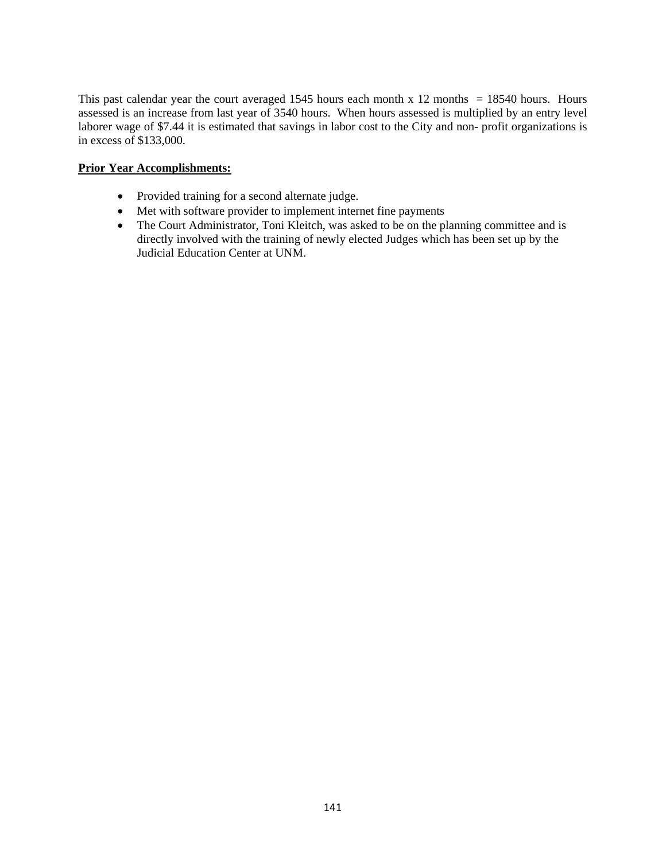This past calendar year the court averaged 1545 hours each month x 12 months  $= 18540$  hours. Hours assessed is an increase from last year of 3540 hours. When hours assessed is multiplied by an entry level laborer wage of \$7.44 it is estimated that savings in labor cost to the City and non- profit organizations is in excess of \$133,000.

#### **Prior Year Accomplishments:**

- Provided training for a second alternate judge.
- Met with software provider to implement internet fine payments
- The Court Administrator, Toni Kleitch, was asked to be on the planning committee and is directly involved with the training of newly elected Judges which has been set up by the Judicial Education Center at UNM.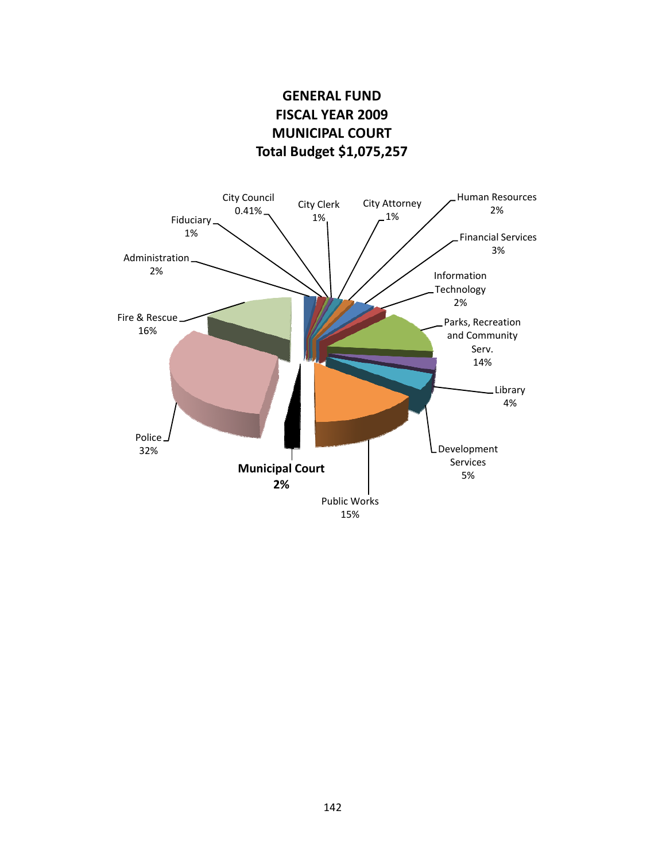# **GENERAL FUND FISCAL YEAR 2009 MUNICIPAL COURT Total Budget \$1,075,257**

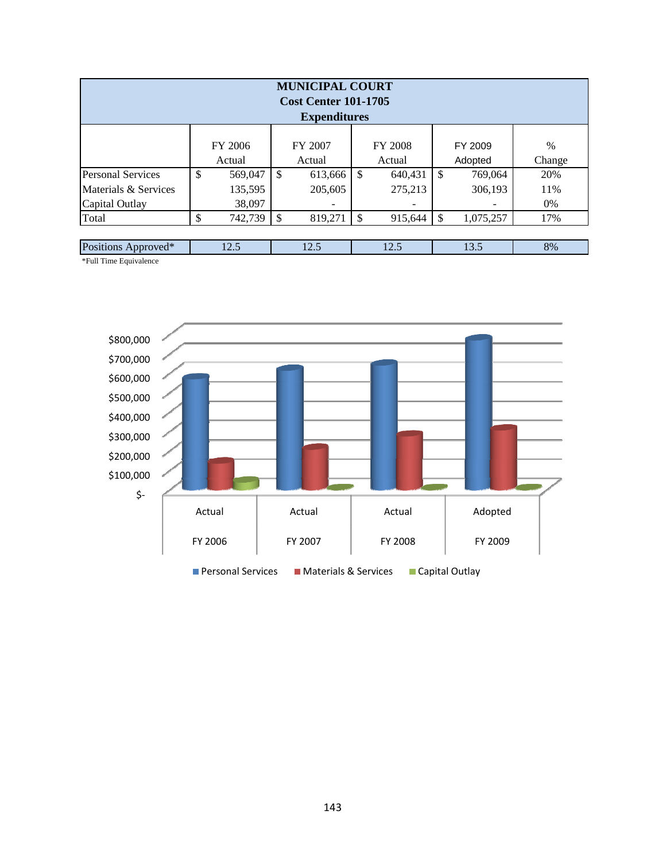| <b>MUNICIPAL COURT</b><br><b>Cost Center 101-1705</b><br><b>Expenditures</b> |    |                              |    |                    |     |                          |    |                    |                     |
|------------------------------------------------------------------------------|----|------------------------------|----|--------------------|-----|--------------------------|----|--------------------|---------------------|
|                                                                              |    | FY 2006<br>Actual            |    | FY 2007<br>Actual  |     | <b>FY 2008</b><br>Actual |    | FY 2009<br>Adopted | $\%$<br>Change      |
| <b>Personal Services</b><br>Materials & Services<br>Capital Outlay           | \$ | 569,047<br>135,595<br>38,097 | \$ | 613,666<br>205,605 | \$  | 640,431<br>275,213       | \$ | 769,064<br>306,193 | 20%<br>11%<br>$0\%$ |
| Total                                                                        | \$ | 742,739                      | \$ | 819,271            | \$. | 915,644                  | \$ | 1,075,257          | 17%                 |
| Positions Approved*                                                          |    | 12.5                         |    | 12.5               |     | 12.5                     |    | 13.5               | 8%                  |